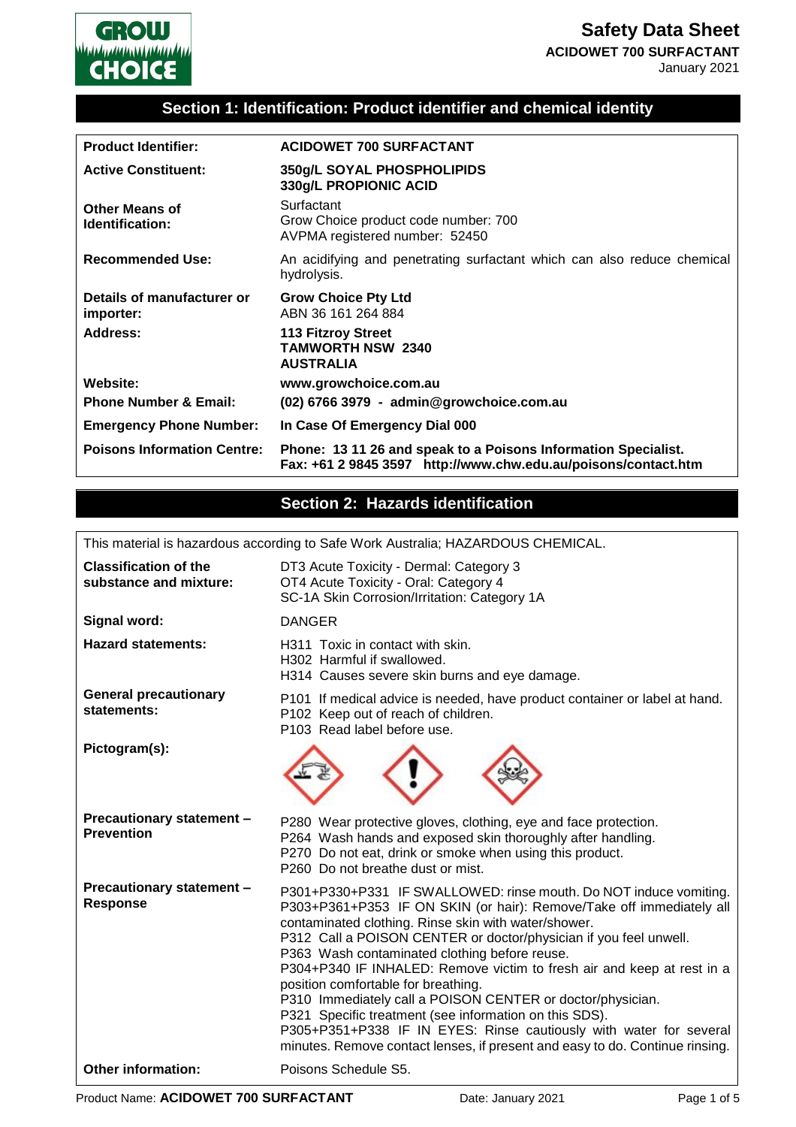

### **Section 1: Identification: Product identifier and chemical identity**

| <b>Product Identifier:</b>               | <b>ACIDOWET 700 SURFACTANT</b>                                                                                                   |
|------------------------------------------|----------------------------------------------------------------------------------------------------------------------------------|
| <b>Active Constituent:</b>               | 350g/L SOYAL PHOSPHOLIPIDS<br>330g/L PROPIONIC ACID                                                                              |
| <b>Other Means of</b><br>Identification: | Surfactant<br>Grow Choice product code number: 700<br>AVPMA registered number: 52450                                             |
| <b>Recommended Use:</b>                  | An acidifying and penetrating surfactant which can also reduce chemical<br>hydrolysis.                                           |
| Details of manufacturer or<br>importer:  | <b>Grow Choice Pty Ltd</b><br>ABN 36 161 264 884                                                                                 |
| Address:                                 | 113 Fitzroy Street<br><b>TAMWORTH NSW 2340</b><br><b>AUSTRALIA</b>                                                               |
| Website:                                 | www.growchoice.com.au                                                                                                            |
| <b>Phone Number &amp; Email:</b>         | (02) 6766 3979 - admin@growchoice.com.au                                                                                         |
| <b>Emergency Phone Number:</b>           | In Case Of Emergency Dial 000                                                                                                    |
| <b>Poisons Information Centre:</b>       | Phone: 13 11 26 and speak to a Poisons Information Specialist.<br>Fax: +61 2 9845 3597 http://www.chw.edu.au/poisons/contact.htm |

## **Section 2: Hazards identification**

This material is hazardous according to Safe Work Australia; HAZARDOUS CHEMICAL.

| <b>Classification of the</b><br>substance and mixture: | DT3 Acute Toxicity - Dermal: Category 3<br>OT4 Acute Toxicity - Oral: Category 4<br>SC-1A Skin Corrosion/Irritation: Category 1A                                                                                                                                                                                                                                                                                                                                                                                                                                                                                                                                                                                       |  |
|--------------------------------------------------------|------------------------------------------------------------------------------------------------------------------------------------------------------------------------------------------------------------------------------------------------------------------------------------------------------------------------------------------------------------------------------------------------------------------------------------------------------------------------------------------------------------------------------------------------------------------------------------------------------------------------------------------------------------------------------------------------------------------------|--|
| Signal word:                                           | <b>DANGER</b>                                                                                                                                                                                                                                                                                                                                                                                                                                                                                                                                                                                                                                                                                                          |  |
| <b>Hazard statements:</b>                              | H311 Toxic in contact with skin.<br>H302 Harmful if swallowed.<br>H314 Causes severe skin burns and eye damage.                                                                                                                                                                                                                                                                                                                                                                                                                                                                                                                                                                                                        |  |
| <b>General precautionary</b><br>statements:            | P101 If medical advice is needed, have product container or label at hand.<br>P102 Keep out of reach of children.<br>P103 Read label before use.                                                                                                                                                                                                                                                                                                                                                                                                                                                                                                                                                                       |  |
| Pictogram(s):                                          |                                                                                                                                                                                                                                                                                                                                                                                                                                                                                                                                                                                                                                                                                                                        |  |
| <b>Precautionary statement -</b><br><b>Prevention</b>  | P280 Wear protective gloves, clothing, eye and face protection.<br>P264 Wash hands and exposed skin thoroughly after handling.<br>P270 Do not eat, drink or smoke when using this product.<br>P260 Do not breathe dust or mist.                                                                                                                                                                                                                                                                                                                                                                                                                                                                                        |  |
| Precautionary statement -<br><b>Response</b>           | P301+P330+P331 IF SWALLOWED: rinse mouth. Do NOT induce vomiting.<br>P303+P361+P353 IF ON SKIN (or hair): Remove/Take off immediately all<br>contaminated clothing. Rinse skin with water/shower.<br>P312 Call a POISON CENTER or doctor/physician if you feel unwell.<br>P363 Wash contaminated clothing before reuse.<br>P304+P340 IF INHALED: Remove victim to fresh air and keep at rest in a<br>position comfortable for breathing.<br>P310 Immediately call a POISON CENTER or doctor/physician.<br>P321 Specific treatment (see information on this SDS).<br>P305+P351+P338 IF IN EYES: Rinse cautiously with water for several<br>minutes. Remove contact lenses, if present and easy to do. Continue rinsing. |  |
| <b>Other information:</b>                              | Poisons Schedule S5.                                                                                                                                                                                                                                                                                                                                                                                                                                                                                                                                                                                                                                                                                                   |  |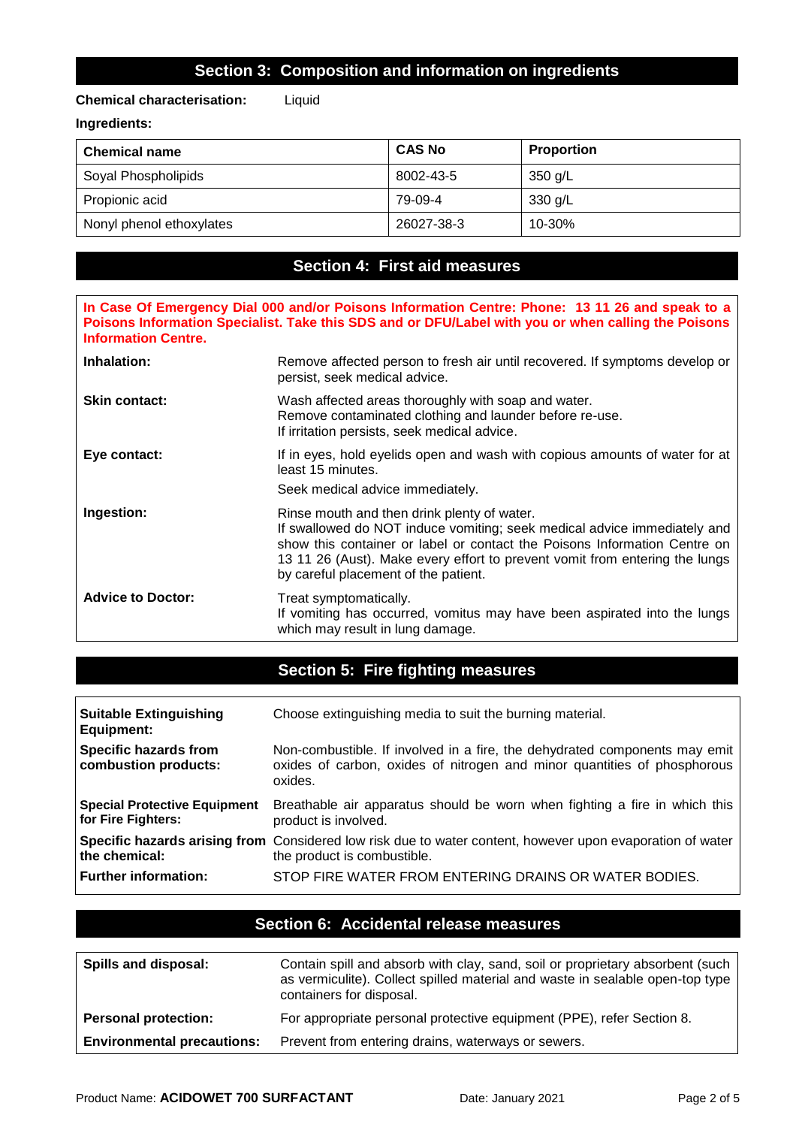### **Section 3: Composition and information on ingredients**

#### **Chemical characterisation:** Liquid

#### **Ingredients:**

| <b>Chemical name</b>     | <b>CAS No</b> | <b>Proportion</b> |
|--------------------------|---------------|-------------------|
| Soyal Phospholipids      | 8002-43-5     | 350 g/L           |
| Propionic acid           | 79-09-4       | 330 g/L           |
| Nonyl phenol ethoxylates | 26027-38-3    | 10-30%            |

### **Section 4: First aid measures**

**In Case Of Emergency Dial 000 and/or Poisons Information Centre: Phone: 13 11 26 and speak to a Poisons Information Specialist. Take this SDS and or DFU/Label with you or when calling the Poisons Information Centre.**

| Inhalation:              | Remove affected person to fresh air until recovered. If symptoms develop or<br>persist, seek medical advice.                                                                                                                                                                                                                |
|--------------------------|-----------------------------------------------------------------------------------------------------------------------------------------------------------------------------------------------------------------------------------------------------------------------------------------------------------------------------|
| <b>Skin contact:</b>     | Wash affected areas thoroughly with soap and water.<br>Remove contaminated clothing and launder before re-use.<br>If irritation persists, seek medical advice.                                                                                                                                                              |
| Eye contact:             | If in eyes, hold eyelids open and wash with copious amounts of water for at<br>least 15 minutes.<br>Seek medical advice immediately.                                                                                                                                                                                        |
| Ingestion:               | Rinse mouth and then drink plenty of water.<br>If swallowed do NOT induce vomiting; seek medical advice immediately and<br>show this container or label or contact the Poisons Information Centre on<br>13 11 26 (Aust). Make every effort to prevent vomit from entering the lungs<br>by careful placement of the patient. |
| <b>Advice to Doctor:</b> | Treat symptomatically.<br>If vomiting has occurred, vomitus may have been aspirated into the lungs<br>which may result in lung damage.                                                                                                                                                                                      |

## **Section 5: Fire fighting measures**

| <b>Suitable Extinguishing</b><br><b>Equipment:</b>        | Choose extinguishing media to suit the burning material.                                                                                                          |
|-----------------------------------------------------------|-------------------------------------------------------------------------------------------------------------------------------------------------------------------|
| <b>Specific hazards from</b><br>combustion products:      | Non-combustible. If involved in a fire, the dehydrated components may emit<br>oxides of carbon, oxides of nitrogen and minor quantities of phosphorous<br>oxides. |
| <b>Special Protective Equipment</b><br>for Fire Fighters: | Breathable air apparatus should be worn when fighting a fire in which this<br>product is involved.                                                                |
| the chemical:                                             | <b>Specific hazards arising from</b> Considered low risk due to water content, however upon evaporation of water<br>the product is combustible.                   |
| Further information:                                      | STOP FIRE WATER FROM ENTERING DRAINS OR WATER BODIES.                                                                                                             |

| Section 6: Accidental release measures |
|----------------------------------------|
|----------------------------------------|

| Spills and disposal:              | Contain spill and absorb with clay, sand, soil or proprietary absorbent (such<br>as vermiculite). Collect spilled material and waste in sealable open-top type<br>containers for disposal. |
|-----------------------------------|--------------------------------------------------------------------------------------------------------------------------------------------------------------------------------------------|
| <b>Personal protection:</b>       | For appropriate personal protective equipment (PPE), refer Section 8.                                                                                                                      |
| <b>Environmental precautions:</b> | Prevent from entering drains, waterways or sewers.                                                                                                                                         |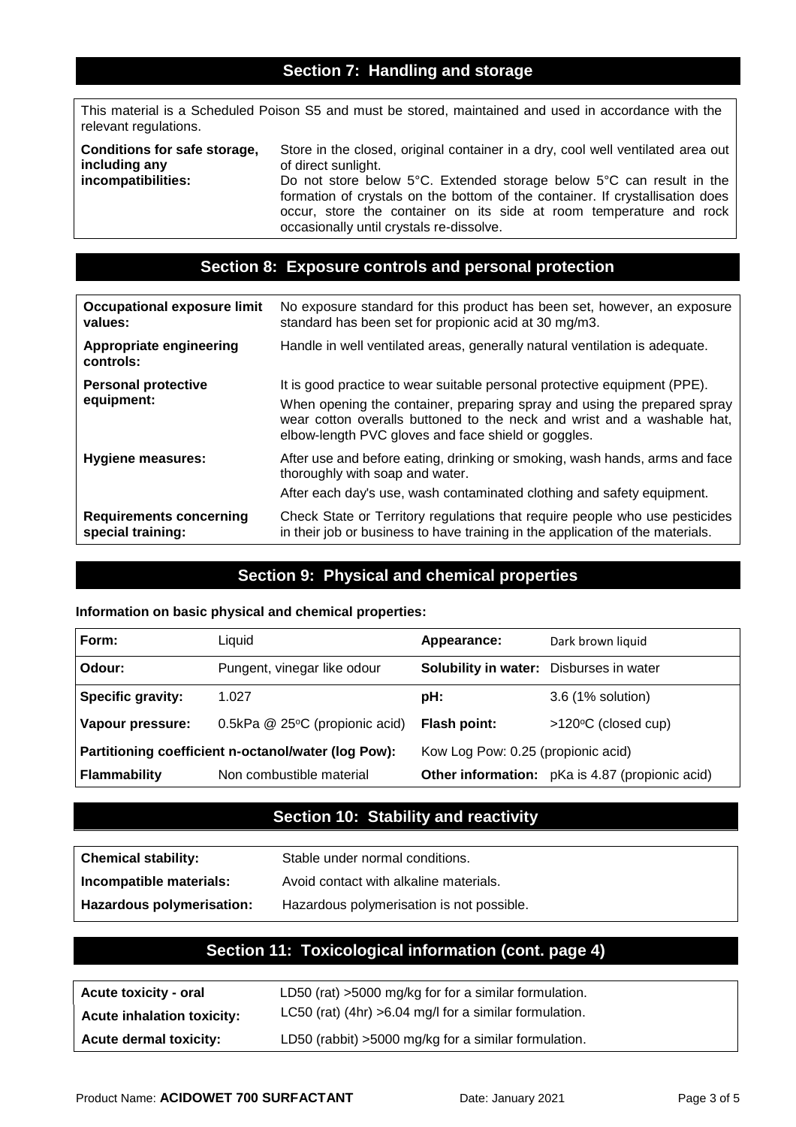## **Section 7: Handling and storage**

This material is a Scheduled Poison S5 and must be stored, maintained and used in accordance with the relevant regulations.

| Conditions for safe storage, | Store in the closed, original container in a dry, cool well ventilated area out                                                                                                                                                                                          |
|------------------------------|--------------------------------------------------------------------------------------------------------------------------------------------------------------------------------------------------------------------------------------------------------------------------|
| including any                | of direct sunlight.                                                                                                                                                                                                                                                      |
| incompatibilities:           | Do not store below 5°C. Extended storage below 5°C can result in the<br>formation of crystals on the bottom of the container. If crystallisation does<br>occur, store the container on its side at room temperature and rock<br>occasionally until crystals re-dissolve. |

### **Section 8: Exposure controls and personal protection**

| <b>Occupational exposure limit</b><br>values:       | No exposure standard for this product has been set, however, an exposure<br>standard has been set for propionic acid at 30 mg/m3.                                                                                                                                                       |
|-----------------------------------------------------|-----------------------------------------------------------------------------------------------------------------------------------------------------------------------------------------------------------------------------------------------------------------------------------------|
| Appropriate engineering<br>controls:                | Handle in well ventilated areas, generally natural ventilation is adequate.                                                                                                                                                                                                             |
| <b>Personal protective</b><br>equipment:            | It is good practice to wear suitable personal protective equipment (PPE).<br>When opening the container, preparing spray and using the prepared spray<br>wear cotton overalls buttoned to the neck and wrist and a washable hat,<br>elbow-length PVC gloves and face shield or goggles. |
| <b>Hygiene measures:</b>                            | After use and before eating, drinking or smoking, wash hands, arms and face<br>thoroughly with soap and water.<br>After each day's use, wash contaminated clothing and safety equipment.                                                                                                |
| <b>Requirements concerning</b><br>special training: | Check State or Territory regulations that require people who use pesticides<br>in their job or business to have training in the application of the materials.                                                                                                                           |

### **Section 9: Physical and chemical properties**

#### **Information on basic physical and chemical properties:**

| Form:                                               | Liquid                         | Appearance:                                    | Dark brown liquid                               |
|-----------------------------------------------------|--------------------------------|------------------------------------------------|-------------------------------------------------|
| Odour:                                              | Pungent, vinegar like odour    | <b>Solubility in water:</b> Disburses in water |                                                 |
| <b>Specific gravity:</b>                            | 1.027                          | pH:                                            | 3.6 (1% solution)                               |
| Vapour pressure:                                    | 0.5kPa @ 25°C (propionic acid) | <b>Flash point:</b>                            | >120°C (closed cup)                             |
| Partitioning coefficient n-octanol/water (log Pow): |                                | Kow Log Pow: 0.25 (propionic acid)             |                                                 |
| <b>Flammability</b>                                 | Non combustible material       |                                                | Other information: pKa is 4.87 (propionic acid) |

## **Section 10: Stability and reactivity**

| <b>Chemical stability:</b> | Stable under normal conditions.           |
|----------------------------|-------------------------------------------|
| Incompatible materials:    | Avoid contact with alkaline materials.    |
| Hazardous polymerisation:  | Hazardous polymerisation is not possible. |

### **Section 11: Toxicological information (cont. page 4)**

| <b>Acute toxicity - oral</b>      | LD50 (rat) >5000 mg/kg for for a similar formulation.    |
|-----------------------------------|----------------------------------------------------------|
| <b>Acute inhalation toxicity:</b> | LC50 (rat) (4hr) $>6.04$ mg/l for a similar formulation. |
| <b>Acute dermal toxicity:</b>     | LD50 (rabbit) >5000 mg/kg for a similar formulation.     |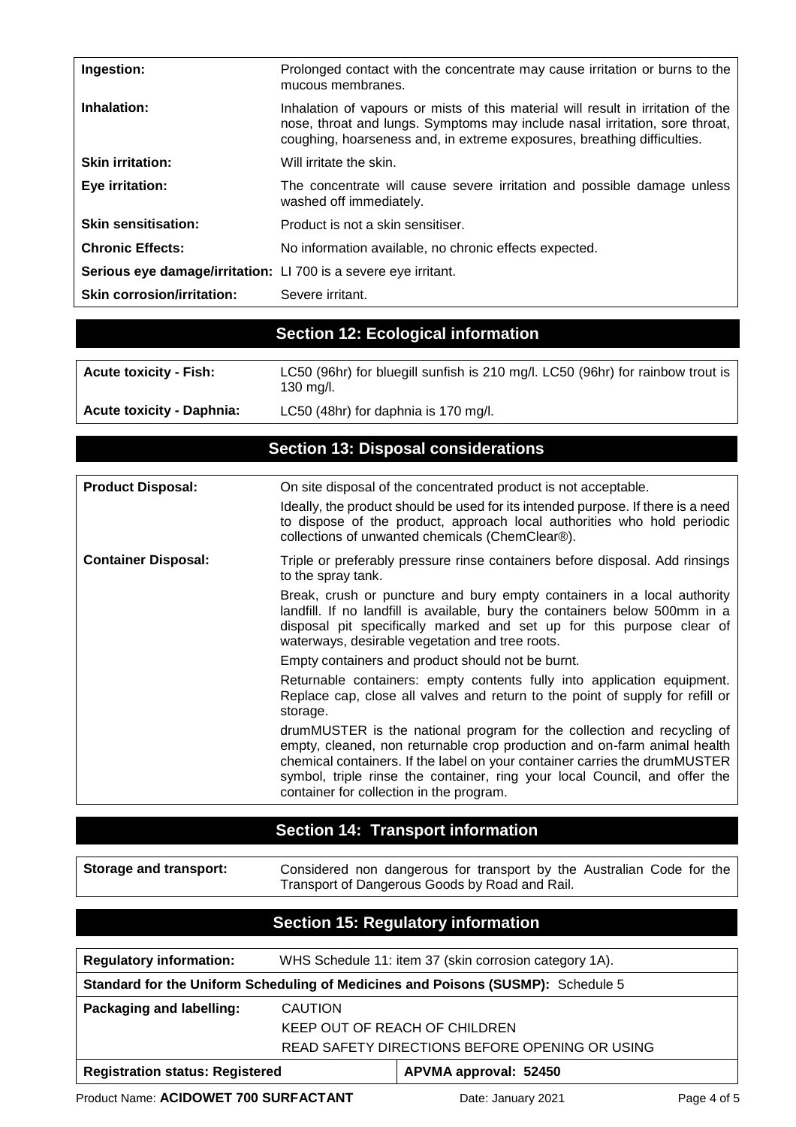| Ingestion:                                                      | Prolonged contact with the concentrate may cause irritation or burns to the<br>mucous membranes.                                                                                                                                           |  |
|-----------------------------------------------------------------|--------------------------------------------------------------------------------------------------------------------------------------------------------------------------------------------------------------------------------------------|--|
| Inhalation:                                                     | Inhalation of vapours or mists of this material will result in irritation of the<br>nose, throat and lungs. Symptoms may include nasal irritation, sore throat,<br>coughing, hoarseness and, in extreme exposures, breathing difficulties. |  |
| <b>Skin irritation:</b>                                         | Will irritate the skin.                                                                                                                                                                                                                    |  |
| Eye irritation:                                                 | The concentrate will cause severe irritation and possible damage unless<br>washed off immediately.                                                                                                                                         |  |
| <b>Skin sensitisation:</b>                                      | Product is not a skin sensitiser.                                                                                                                                                                                                          |  |
| <b>Chronic Effects:</b>                                         | No information available, no chronic effects expected.                                                                                                                                                                                     |  |
| Serious eye damage/irritation: LI 700 is a severe eye irritant. |                                                                                                                                                                                                                                            |  |
| <b>Skin corrosion/irritation:</b>                               | Severe irritant.                                                                                                                                                                                                                           |  |

# **Section 12: Ecological information**

| <b>Acute toxicity - Fish:</b>    | LC50 (96hr) for bluegill sunfish is 210 mg/l. LC50 (96hr) for rainbow trout is<br>130 mg/l. |
|----------------------------------|---------------------------------------------------------------------------------------------|
| <b>Acute toxicity - Daphnia:</b> | LC50 (48hr) for daphnia is 170 mg/l.                                                        |

## **Section 13: Disposal considerations**

| <b>Product Disposal:</b>   | On site disposal of the concentrated product is not acceptable.<br>Ideally, the product should be used for its intended purpose. If there is a need<br>to dispose of the product, approach local authorities who hold periodic<br>collections of unwanted chemicals (ChemClear®).                                                                          |
|----------------------------|------------------------------------------------------------------------------------------------------------------------------------------------------------------------------------------------------------------------------------------------------------------------------------------------------------------------------------------------------------|
| <b>Container Disposal:</b> | Triple or preferably pressure rinse containers before disposal. Add rinsings<br>to the spray tank.                                                                                                                                                                                                                                                         |
|                            | Break, crush or puncture and bury empty containers in a local authority<br>landfill. If no landfill is available, bury the containers below 500mm in a<br>disposal pit specifically marked and set up for this purpose clear of<br>waterways, desirable vegetation and tree roots.                                                                         |
|                            | Empty containers and product should not be burnt.                                                                                                                                                                                                                                                                                                          |
|                            | Returnable containers: empty contents fully into application equipment.<br>Replace cap, close all valves and return to the point of supply for refill or<br>storage.                                                                                                                                                                                       |
|                            | drumMUSTER is the national program for the collection and recycling of<br>empty, cleaned, non returnable crop production and on-farm animal health<br>chemical containers. If the label on your container carries the drumMUSTER<br>symbol, triple rinse the container, ring your local Council, and offer the<br>container for collection in the program. |

# **Section 14: Transport information**

| <b>Storage and transport:</b> | Considered non dangerous for transport by the Australian Code for the |
|-------------------------------|-----------------------------------------------------------------------|
|                               | Transport of Dangerous Goods by Road and Rail.                        |

# **Section 15: Regulatory information**

| <b>Regulatory information:</b>                                                   | WHS Schedule 11: item 37 (skin corrosion category 1A). |                       |  |  |  |
|----------------------------------------------------------------------------------|--------------------------------------------------------|-----------------------|--|--|--|
| Standard for the Uniform Scheduling of Medicines and Poisons (SUSMP): Schedule 5 |                                                        |                       |  |  |  |
| Packaging and labelling:                                                         | <b>CAUTION</b>                                         |                       |  |  |  |
|                                                                                  | KEEP OUT OF REACH OF CHILDREN                          |                       |  |  |  |
|                                                                                  | READ SAFETY DIRECTIONS BEFORE OPENING OR USING         |                       |  |  |  |
| <b>Registration status: Registered</b>                                           |                                                        | APVMA approval: 52450 |  |  |  |

Product Name: **ACIDOWET 700 SURFACTANT** Date: January 2021 Page 4 of 5